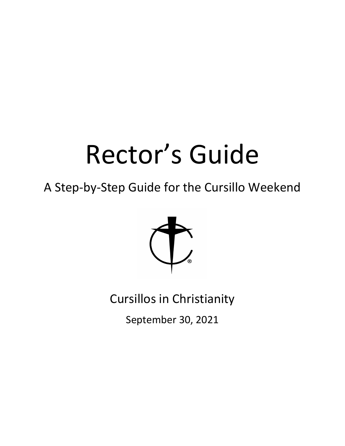# Rector's Guide

A Step-by-Step Guide for the Cursillo Weekend



Cursillos in Christianity

September 30, 2021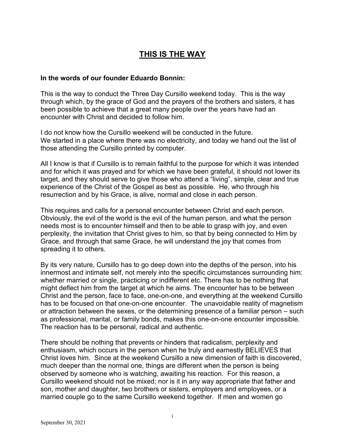# **THIS IS THE WAY**

#### **In the words of our founder Eduardo Bonnin:**

This is the way to conduct the Three Day Cursillo weekend today. This is the way through which, by the grace of God and the prayers of the brothers and sisters, it has been possible to achieve that a great many people over the years have had an encounter with Christ and decided to follow him.

I do not know how the Cursillo weekend will be conducted in the future. We started in a place where there was no electricity, and today we hand out the list of those attending the Cursillo printed by computer.

All I know is that if Cursillo is to remain faithful to the purpose for which it was intended and for which it was prayed and for which we have been grateful, it should not lower its target, and they should serve to give those who attend a "living", simple, clear and true experience of the Christ of the Gospel as best as possible. He, who through his resurrection and by his Grace, is alive, normal and close in each person.

This requires and calls for a personal encounter between Christ and each person. Obviously, the evil of the world is the evil of the human person, and what the person needs most is to encounter himself and then to be able to grasp with joy, and even perplexity, the invitation that Christ gives to him, so that by being connected to Him by Grace, and through that same Grace, he will understand the joy that comes from spreading it to others.

By its very nature, Cursillo has to go deep down into the depths of the person, into his innermost and intimate self, not merely into the specific circumstances surrounding him: whether married or single, practicing or indifferent etc. There has to be nothing that might deflect him from the target at which he aims. The encounter has to be between Christ and the person, face to face, one-on-one, and everything at the weekend Cursillo has to be focused on that one-on-one encounter. The unavoidable reality of magnetism or attraction between the sexes, or the determining presence of a familiar person – such as professional, marital, or family bonds, makes this one-on-one encounter impossible. The reaction has to be personal, radical and authentic.

There should be nothing that prevents or hinders that radicalism, perplexity and enthusiasm, which occurs in the person when he truly and earnestly BELIEVES that Christ loves him. Since at the weekend Cursillo a new dimension of faith is discovered, much deeper than the normal one, things are different when the person is being observed by someone who is watching, awaiting his reaction. For this reason, a Cursillo weekend should not be mixed; nor is it in any way appropriate that father and son, mother and daughter, two brothers or sisters, employers and employees, or a married couple go to the same Cursillo weekend together. If men and women go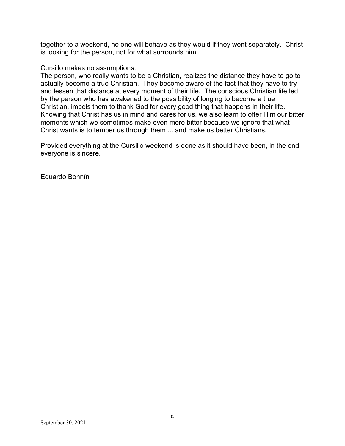together to a weekend, no one will behave as they would if they went separately. Christ is looking for the person, not for what surrounds him.

#### Cursillo makes no assumptions.

The person, who really wants to be a Christian, realizes the distance they have to go to actually become a true Christian. They become aware of the fact that they have to try and lessen that distance at every moment of their life. The conscious Christian life led by the person who has awakened to the possibility of longing to become a true Christian, impels them to thank God for every good thing that happens in their life. Knowing that Christ has us in mind and cares for us, we also learn to offer Him our bitter moments which we sometimes make even more bitter because we ignore that what Christ wants is to temper us through them ... and make us better Christians.

Provided everything at the Cursillo weekend is done as it should have been, in the end everyone is sincere.

Eduardo Bonnín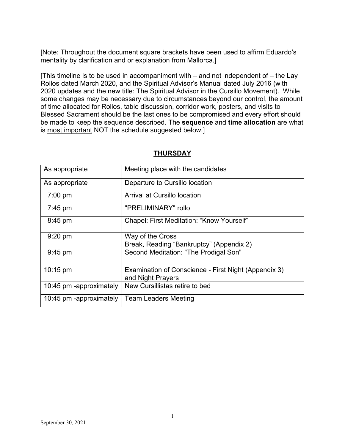[Note: Throughout the document square brackets have been used to affirm Eduardo's mentality by clarification and or explanation from Mallorca.]

[This timeline is to be used in accompaniment with – and not independent of – the Lay Rollos dated March 2020, and the Spiritual Advisor's Manual dated July 2016 (with 2020 updates and the new title: The Spiritual Advisor in the Cursillo Movement). While some changes may be necessary due to circumstances beyond our control, the amount of time allocated for Rollos, table discussion, corridor work, posters, and visits to Blessed Sacrament should be the last ones to be compromised and every effort should be made to keep the sequence described. The **sequence** and **time allocation** are what is most important NOT the schedule suggested below.]

| As appropriate          | Meeting place with the candidates                                         |
|-------------------------|---------------------------------------------------------------------------|
| As appropriate          | Departure to Cursillo location                                            |
| $7:00 \text{ pm}$       | Arrival at Cursillo location                                              |
| $7:45 \text{ pm}$       | "PRELIMINARY" rollo                                                       |
| 8:45 pm                 | Chapel: First Meditation: "Know Yourself"                                 |
| $9:20$ pm               | Way of the Cross<br>Break, Reading "Bankruptcy" (Appendix 2)              |
| $9:45$ pm               | Second Meditation: "The Prodigal Son"                                     |
| $10:15 \text{ pm}$      | Examination of Conscience - First Night (Appendix 3)<br>and Night Prayers |
| 10:45 pm -approximately | New Cursillistas retire to bed                                            |
| 10:45 pm -approximately | <b>Team Leaders Meeting</b>                                               |

## **THURSDAY**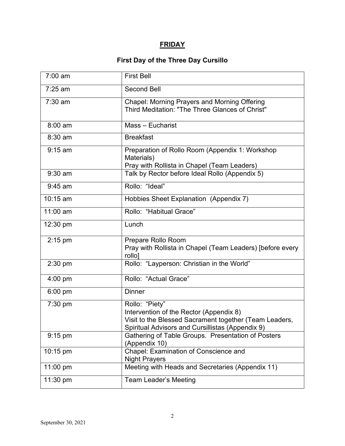## **FRIDAY**

# **First Day of the Three Day Cursillo**

| 7:00 am   | <b>First Bell</b>                                                                                                                                                       |
|-----------|-------------------------------------------------------------------------------------------------------------------------------------------------------------------------|
| 7:25 am   | <b>Second Bell</b>                                                                                                                                                      |
| $7:30$ am | <b>Chapel: Morning Prayers and Morning Offering</b><br>Third Meditation: "The Three Glances of Christ"                                                                  |
| 8:00 am   | Mass - Eucharist                                                                                                                                                        |
| 8:30 am   | <b>Breakfast</b>                                                                                                                                                        |
| $9:15$ am | Preparation of Rollo Room (Appendix 1: Workshop<br>Materials)<br>Pray with Rollista in Chapel (Team Leaders)                                                            |
| $9:30$ am | Talk by Rector before Ideal Rollo (Appendix 5)                                                                                                                          |
| $9:45$ am | Rollo: "Ideal"                                                                                                                                                          |
| 10:15 am  | Hobbies Sheet Explanation (Appendix 7)                                                                                                                                  |
| 11:00 am  | Rollo: "Habitual Grace"                                                                                                                                                 |
| 12:30 pm  | Lunch                                                                                                                                                                   |
| $2:15$ pm | Prepare Rollo Room<br>Pray with Rollista in Chapel (Team Leaders) [before every<br>rollo]                                                                               |
| $2:30$ pm | Rollo: "Layperson: Christian in the World"                                                                                                                              |
| $4:00$ pm | Rollo: "Actual Grace"                                                                                                                                                   |
| $6:00$ pm | <b>Dinner</b>                                                                                                                                                           |
| 7:30 pm   | Rollo: "Piety"<br>Intervention of the Rector (Appendix 8)<br>Visit to the Blessed Sacrament together (Team Leaders,<br>Spiritual Advisors and Cursillistas (Appendix 9) |
| $9:15$ pm | Gathering of Table Groups. Presentation of Posters<br>(Appendix 10)                                                                                                     |
| 10:15 pm  | Chapel: Examination of Conscience and<br><b>Night Prayers</b>                                                                                                           |
| 11:00 pm  | Meeting with Heads and Secretaries (Appendix 11)                                                                                                                        |
| 11:30 pm  | <b>Team Leader's Meeting</b>                                                                                                                                            |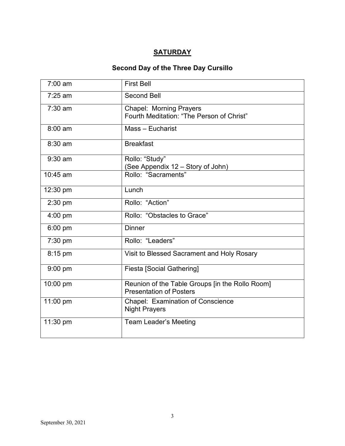## **SATURDAY**

# **Second Day of the Three Day Cursillo**

| $7:00$ am | <b>First Bell</b>                                                                 |
|-----------|-----------------------------------------------------------------------------------|
| $7:25$ am | <b>Second Bell</b>                                                                |
| $7:30$ am | <b>Chapel: Morning Prayers</b><br>Fourth Meditation: "The Person of Christ"       |
| $8:00$ am | Mass - Eucharist                                                                  |
| 8:30 am   | <b>Breakfast</b>                                                                  |
| $9:30$ am | Rollo: "Study"<br>(See Appendix 12 - Story of John)                               |
| 10:45 am  | Rollo: "Sacraments"                                                               |
| 12:30 pm  | Lunch                                                                             |
| 2:30 pm   | Rollo: "Action"                                                                   |
| 4:00 pm   | Rollo: "Obstacles to Grace"                                                       |
| $6:00$ pm | <b>Dinner</b>                                                                     |
| 7:30 pm   | Rollo: "Leaders"                                                                  |
| 8:15 pm   | Visit to Blessed Sacrament and Holy Rosary                                        |
| $9:00$ pm | <b>Fiesta [Social Gathering]</b>                                                  |
| 10:00 pm  | Reunion of the Table Groups [in the Rollo Room]<br><b>Presentation of Posters</b> |
| 11:00 pm  | Chapel: Examination of Conscience<br><b>Night Prayers</b>                         |
| 11:30 pm  | <b>Team Leader's Meeting</b>                                                      |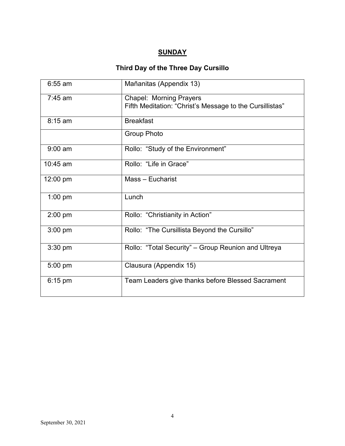## **SUNDAY**

# **Third Day of the Three Day Cursillo**

| $6:55$ am  | Mañanitas (Appendix 13)                                                                    |
|------------|--------------------------------------------------------------------------------------------|
| $7:45$ am  | <b>Chapel: Morning Prayers</b><br>Fifth Meditation: "Christ's Message to the Cursillistas" |
| 8:15 am    | <b>Breakfast</b>                                                                           |
|            | <b>Group Photo</b>                                                                         |
| $9:00$ am  | Rollo: "Study of the Environment"                                                          |
| $10:45$ am | Rollo: "Life in Grace"                                                                     |
| 12:00 pm   | Mass - Eucharist                                                                           |
| $1:00$ pm  | Lunch                                                                                      |
| 2:00 pm    | Rollo: "Christianity in Action"                                                            |
| $3:00$ pm  | Rollo: "The Cursillista Beyond the Cursillo"                                               |
| 3:30 pm    | Rollo: "Total Security" – Group Reunion and Ultreya                                        |
| 5:00 pm    | Clausura (Appendix 15)                                                                     |
| 6:15 pm    | Team Leaders give thanks before Blessed Sacrament                                          |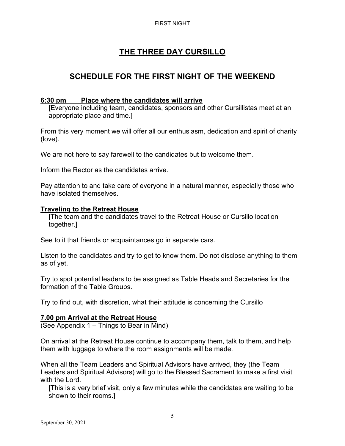#### FIRST NIGHT

# **THE THREE DAY CURSILLO**

# **SCHEDULE FOR THE FIRST NIGHT OF THE WEEKEND**

## **6:30 pm Place where the candidates will arrive**

[Everyone including team, candidates, sponsors and other Cursillistas meet at an appropriate place and time.]

From this very moment we will offer all our enthusiasm, dedication and spirit of charity (love).

We are not here to say farewell to the candidates but to welcome them.

Inform the Rector as the candidates arrive.

Pay attention to and take care of everyone in a natural manner, especially those who have isolated themselves.

#### **Traveling to the Retreat House**

[The team and the candidates travel to the Retreat House or Cursillo location together.]

See to it that friends or acquaintances go in separate cars.

Listen to the candidates and try to get to know them. Do not disclose anything to them as of yet.

Try to spot potential leaders to be assigned as Table Heads and Secretaries for the formation of the Table Groups.

Try to find out, with discretion, what their attitude is concerning the Cursillo

## **7.00 pm Arrival at the Retreat House**

(See Appendix 1 – Things to Bear in Mind)

On arrival at the Retreat House continue to accompany them, talk to them, and help them with luggage to where the room assignments will be made.

When all the Team Leaders and Spiritual Advisors have arrived, they (the Team Leaders and Spiritual Advisors) will go to the Blessed Sacrament to make a first visit with the Lord.

[This is a very brief visit, only a few minutes while the candidates are waiting to be shown to their rooms.]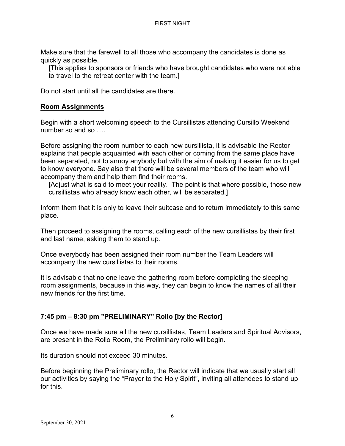Make sure that the farewell to all those who accompany the candidates is done as quickly as possible.

[This applies to sponsors or friends who have brought candidates who were not able to travel to the retreat center with the team.]

Do not start until all the candidates are there.

## **Room Assignments**

Begin with a short welcoming speech to the Cursillistas attending Cursillo Weekend number so and so

Before assigning the room number to each new cursillista, it is advisable the Rector explains that people acquainted with each other or coming from the same place have been separated, not to annoy anybody but with the aim of making it easier for us to get to know everyone. Say also that there will be several members of the team who will accompany them and help them find their rooms.

[Adjust what is said to meet your reality. The point is that where possible, those new cursillistas who already know each other, will be separated.]

Inform them that it is only to leave their suitcase and to return immediately to this same place.

Then proceed to assigning the rooms, calling each of the new cursillistas by their first and last name, asking them to stand up.

Once everybody has been assigned their room number the Team Leaders will accompany the new cursillistas to their rooms.

It is advisable that no one leave the gathering room before completing the sleeping room assignments, because in this way, they can begin to know the names of all their new friends for the first time.

## **7:45 pm – 8:30 pm "PRELIMINARY" Rollo [by the Rector]**

Once we have made sure all the new cursillistas, Team Leaders and Spiritual Advisors, are present in the Rollo Room, the Preliminary rollo will begin.

Its duration should not exceed 30 minutes.

Before beginning the Preliminary rollo, the Rector will indicate that we usually start all our activities by saying the "Prayer to the Holy Spirit", inviting all attendees to stand up for this.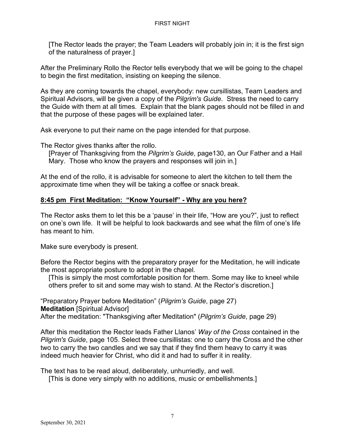[The Rector leads the prayer; the Team Leaders will probably join in; it is the first sign of the naturalness of prayer.]

After the Preliminary Rollo the Rector tells everybody that we will be going to the chapel to begin the first meditation, insisting on keeping the silence.

As they are coming towards the chapel, everybody: new cursillistas, Team Leaders and Spiritual Advisors, will be given a copy of the *Pilgrim's Guide*. Stress the need to carry the Guide with them at all times. Explain that the blank pages should not be filled in and that the purpose of these pages will be explained later.

Ask everyone to put their name on the page intended for that purpose.

The Rector gives thanks after the rollo.

[Prayer of Thanksgiving from the *Pilgrim's Guide*, page130, an Our Father and a Hail Mary. Those who know the prayers and responses will join in.]

At the end of the rollo, it is advisable for someone to alert the kitchen to tell them the approximate time when they will be taking a coffee or snack break.

## **8:45 pm First Meditation: "Know Yourself" - Why are you here?**

The Rector asks them to let this be a 'pause' in their life, "How are you?", just to reflect on one's own life. It will be helpful to look backwards and see what the film of one's life has meant to him.

Make sure everybody is present.

Before the Rector begins with the preparatory prayer for the Meditation, he will indicate the most appropriate posture to adopt in the chapel.

[This is simply the most comfortable position for them. Some may like to kneel while others prefer to sit and some may wish to stand. At the Rector's discretion.]

"Preparatory Prayer before Meditation" (*Pilgrim's Guide*, page 27) **Meditation** [Spiritual Advisor] After the meditation: "Thanksgiving after Meditation" (*Pilgrim's Guide*, page 29)

After this meditation the Rector leads Father Llanos' *Way of the Cross* contained in the *Pilgrim's Guide*, page 105. Select three cursillistas: one to carry the Cross and the other two to carry the two candles and we say that if they find them heavy to carry it was indeed much heavier for Christ, who did it and had to suffer it in reality.

The text has to be read aloud, deliberately, unhurriedly, and well.

[This is done very simply with no additions, music or embellishments.]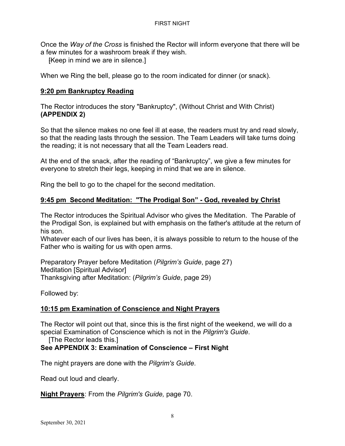Once the *Way of the Cross* is finished the Rector will inform everyone that there will be a few minutes for a washroom break if they wish.

[Keep in mind we are in silence.]

When we Ring the bell, please go to the room indicated for dinner (or snack).

## **9:20 pm Bankruptcy Reading**

The Rector introduces the story "Bankruptcy", (Without Christ and With Christ) **(APPENDIX 2)** 

So that the silence makes no one feel ill at ease, the readers must try and read slowly, so that the reading lasts through the session. The Team Leaders will take turns doing the reading; it is not necessary that all the Team Leaders read.

At the end of the snack, after the reading of "Bankruptcy", we give a few minutes for everyone to stretch their legs, keeping in mind that we are in silence.

Ring the bell to go to the chapel for the second meditation.

## **9:45 pm Second Meditation: "The Prodigal Son" - God, revealed by Christ**

The Rector introduces the Spiritual Advisor who gives the Meditation. The Parable of the Prodigal Son, is explained but with emphasis on the father's attitude at the return of his son.

Whatever each of our lives has been, it is always possible to return to the house of the Father who is waiting for us with open arms.

Preparatory Prayer before Meditation (*Pilgrim's Guide*, page 27) Meditation [Spiritual Advisor] Thanksgiving after Meditation: (*Pilgrim's Guide*, page 29)

Followed by:

## **10:15 pm Examination of Conscience and Night Prayers**

The Rector will point out that, since this is the first night of the weekend, we will do a special Examination of Conscience which is not in the *Pilgrim's Guide*.

[The Rector leads this.]

## **See APPENDIX 3: Examination of Conscience – First Night**

The night prayers are done with the *Pilgrim's Guide*.

Read out loud and clearly.

**Night Prayers**: From the *Pilgrim's Guide,* page 70.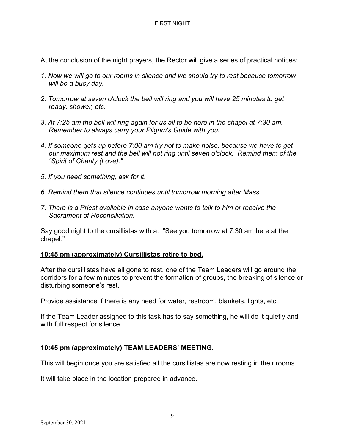At the conclusion of the night prayers, the Rector will give a series of practical notices:

- *1. Now we will go to our rooms in silence and we should try to rest because tomorrow will be a busy day.*
- *2. Tomorrow at seven o'clock the bell will ring and you will have 25 minutes to get ready, shower, etc.*
- *3. At 7:25 am the bell will ring again for us all to be here in the chapel at 7:30 am. Remember to always carry your Pilgrim's Guide with you.*
- *4. If someone gets up before 7:00 am try not to make noise, because we have to get our maximum rest and the bell will not ring until seven o'clock. Remind them of the "Spirit of Charity (Love)."*
- *5. If you need something, ask for it.*
- *6. Remind them that silence continues until tomorrow morning after Mass.*
- *7. There is a Priest available in case anyone wants to talk to him or receive the Sacrament of Reconciliation.*

Say good night to the cursillistas with a: "See you tomorrow at 7:30 am here at the chapel."

## **10:45 pm (approximately) Cursillistas retire to bed.**

After the cursillistas have all gone to rest, one of the Team Leaders will go around the corridors for a few minutes to prevent the formation of groups, the breaking of silence or disturbing someone's rest.

Provide assistance if there is any need for water, restroom, blankets, lights, etc.

If the Team Leader assigned to this task has to say something, he will do it quietly and with full respect for silence.

## **10:45 pm (approximately) TEAM LEADERS' MEETING.**

This will begin once you are satisfied all the cursillistas are now resting in their rooms.

It will take place in the location prepared in advance.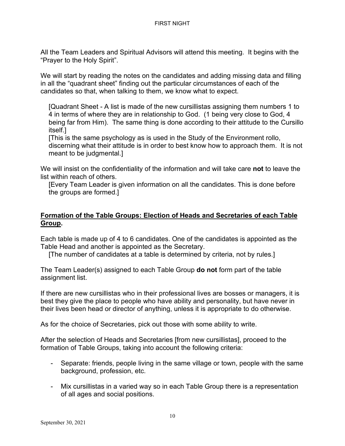All the Team Leaders and Spiritual Advisors will attend this meeting. It begins with the "Prayer to the Holy Spirit".

We will start by reading the notes on the candidates and adding missing data and filling in all the "quadrant sheet" finding out the particular circumstances of each of the candidates so that, when talking to them, we know what to expect.

[Quadrant Sheet - A list is made of the new cursillistas assigning them numbers 1 to 4 in terms of where they are in relationship to God. (1 being very close to God, 4 being far from Him). The same thing is done according to their attitude to the Cursillo itself.]

[This is the same psychology as is used in the Study of the Environment rollo, discerning what their attitude is in order to best know how to approach them. It is not meant to be judgmental.]

We will insist on the confidentiality of the information and will take care **not** to leave the list within reach of others.

[Every Team Leader is given information on all the candidates. This is done before the groups are formed.]

## **Formation of the Table Groups: Election of Heads and Secretaries of each Table Group.**

Each table is made up of 4 to 6 candidates. One of the candidates is appointed as the Table Head and another is appointed as the Secretary.

[The number of candidates at a table is determined by criteria, not by rules.]

The Team Leader(s) assigned to each Table Group **do not** form part of the table assignment list.

If there are new cursillistas who in their professional lives are bosses or managers, it is best they give the place to people who have ability and personality, but have never in their lives been head or director of anything, unless it is appropriate to do otherwise.

As for the choice of Secretaries, pick out those with some ability to write.

After the selection of Heads and Secretaries [from new cursillistas], proceed to the formation of Table Groups, taking into account the following criteria:

- Separate: friends, people living in the same village or town, people with the same background, profession, etc.
- Mix cursillistas in a varied way so in each Table Group there is a representation of all ages and social positions.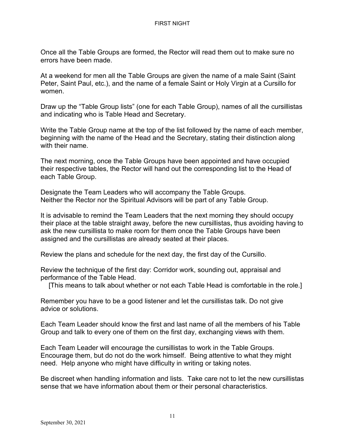Once all the Table Groups are formed, the Rector will read them out to make sure no errors have been made.

At a weekend for men all the Table Groups are given the name of a male Saint (Saint Peter, Saint Paul, etc.), and the name of a female Saint or Holy Virgin at a Cursillo for women.

Draw up the "Table Group lists" (one for each Table Group), names of all the cursillistas and indicating who is Table Head and Secretary.

Write the Table Group name at the top of the list followed by the name of each member, beginning with the name of the Head and the Secretary, stating their distinction along with their name.

The next morning, once the Table Groups have been appointed and have occupied their respective tables, the Rector will hand out the corresponding list to the Head of each Table Group.

Designate the Team Leaders who will accompany the Table Groups. Neither the Rector nor the Spiritual Advisors will be part of any Table Group.

It is advisable to remind the Team Leaders that the next morning they should occupy their place at the table straight away, before the new cursillistas**,** thus avoiding having to ask the new cursillista to make room for them once the Table Groups have been assigned and the cursillistas are already seated at their places.

Review the plans and schedule for the next day, the first day of the Cursillo.

Review the technique of the first day: Corridor work, sounding out, appraisal and performance of the Table Head.

[This means to talk about whether or not each Table Head is comfortable in the role.]

Remember you have to be a good listener and let the cursillistas talk. Do not give advice or solutions.

Each Team Leader should know the first and last name of all the members of his Table Group and talk to every one of them on the first day, exchanging views with them.

Each Team Leader will encourage the cursillistas to work in the Table Groups. Encourage them, but do not do the work himself. Being attentive to what they might need. Help anyone who might have difficulty in writing or taking notes.

Be discreet when handling information and lists. Take care not to let the new cursillistas sense that we have information about them or their personal characteristics.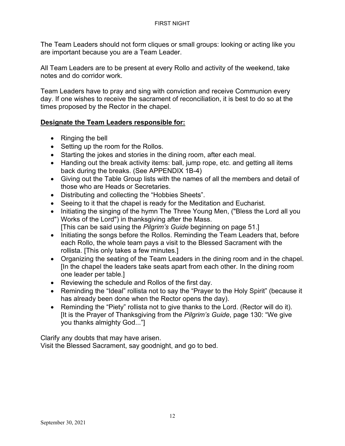The Team Leaders should not form cliques or small groups: looking or acting like you are important because you are a Team Leader.

All Team Leaders are to be present at every Rollo and activity of the weekend, take notes and do corridor work.

Team Leaders have to pray and sing with conviction and receive Communion every day. If one wishes to receive the sacrament of reconciliation, it is best to do so at the times proposed by the Rector in the chapel.

## **Designate the Team Leaders responsible for:**

- Ringing the bell
- Setting up the room for the Rollos.
- Starting the jokes and stories in the dining room, after each meal.
- Handing out the break activity items: ball, jump rope, etc. and getting all items back during the breaks. (See APPENDIX 1B-4)
- Giving out the Table Group lists with the names of all the members and detail of those who are Heads or Secretaries.
- Distributing and collecting the "Hobbies Sheets".
- Seeing to it that the chapel is ready for the Meditation and Eucharist.
- Initiating the singing of the hymn The Three Young Men, ("Bless the Lord all you Works of the Lord") in thanksgiving after the Mass. [This can be said using the *Pilgrim's Guide* beginning on page 51.]
- Initiating the songs before the Rollos. Reminding the Team Leaders that, before each Rollo, the whole team pays a visit to the Blessed Sacrament with the rollista. [This only takes a few minutes.]
- Organizing the seating of the Team Leaders in the dining room and in the chapel. [In the chapel the leaders take seats apart from each other. In the dining room one leader per table.]
- Reviewing the schedule and Rollos of the first day.
- Reminding the "Ideal" rollista not to say the "Prayer to the Holy Spirit" (because it has already been done when the Rector opens the day).
- Reminding the "Piety" rollista not to give thanks to the Lord. (Rector will do it). [It is the Prayer of Thanksgiving from the *Pilgrim's Guide*, page 130: "We give you thanks almighty God..."]

Clarify any doubts that may have arisen. Visit the Blessed Sacrament, say goodnight, and go to bed.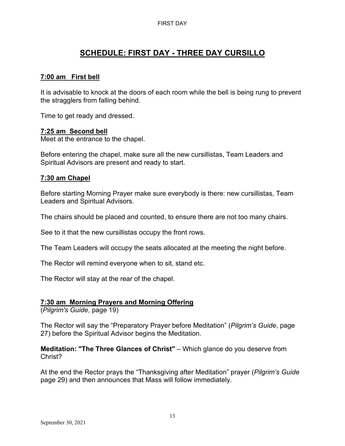# **SCHEDULE: FIRST DAY - THREE DAY CURSILLO**

## **7:00 am First bell**

It is advisable to knock at the doors of each room while the bell is being rung to prevent the stragglers from falling behind.

Time to get ready and dressed.

## **7:25 am Second bell**

Meet at the entrance to the chapel.

Before entering the chapel, make sure all the new cursillistas, Team Leaders and Spiritual Advisors are present and ready to start.

## **7:30 am Chapel**

Before starting Morning Prayer make sure everybody is there: new cursillistas, Team Leaders and Spiritual Advisors.

The chairs should be placed and counted, to ensure there are not too many chairs.

See to it that the new cursillistas occupy the front rows.

The Team Leaders will occupy the seats allocated at the meeting the night before.

The Rector will remind everyone when to sit, stand etc.

The Rector will stay at the rear of the chapel.

## **7:30 am Morning Prayers and Morning Offering**

(*Pilgrim's Guide*, page 19)

The Rector will say the "Preparatory Prayer before Meditation" (*Pilgrim's Guide*, page 27) before the Spiritual Advisor begins the Meditation.

**Meditation: "The Three Glances of Christ"** – Which glance do you deserve from Christ?

At the end the Rector prays the "Thanksgiving after Meditation" prayer (*Pilgrim's Guide* page 29) and then announces that Mass will follow immediately.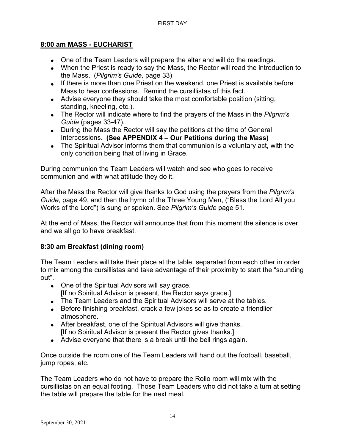## **8:00 am MASS - EUCHARIST**

- One of the Team Leaders will prepare the altar and will do the readings.
- When the Priest is ready to say the Mass, the Rector will read the introduction to the Mass. (*Pilgrim's Guide,* page 33)
- If there is more than one Priest on the weekend, one Priest is available before Mass to hear confessions. Remind the cursillistas of this fact.
- Advise everyone they should take the most comfortable position (sitting, standing, kneeling, etc.).
- The Rector will indicate where to find the prayers of the Mass in the *Pilgrim's Guide* (pages 33-47).
- During the Mass the Rector will say the petitions at the time of General Intercessions. **(See APPENDIX 4 – Our Petitions during the Mass)**
- The Spiritual Advisor informs them that communion is a voluntary act, with the only condition being that of living in Grace.

During communion the Team Leaders will watch and see who goes to receive communion and with what attitude they do it.

After the Mass the Rector will give thanks to God using the prayers from the *Pilgrim's Guide,* page 49, and then the hymn of the Three Young Men, ("Bless the Lord All you Works of the Lord") is sung or spoken. See *Pilgrim's Guide* page 51.

At the end of Mass, the Rector will announce that from this moment the silence is over and we all go to have breakfast.

## **8:30 am Breakfast (dining room)**

The Team Leaders will take their place at the table, separated from each other in order to mix among the cursillistas and take advantage of their proximity to start the "sounding out".

- One of the Spiritual Advisors will say grace. [If no Spiritual Advisor is present, the Rector says grace.]
- The Team Leaders and the Spiritual Advisors will serve at the tables.
- Before finishing breakfast, crack a few jokes so as to create a friendlier atmosphere.
- After breakfast, one of the Spiritual Advisors will give thanks.
- [If no Spiritual Advisor is present the Rector gives thanks.]
- Advise everyone that there is a break until the bell rings again.

Once outside the room one of the Team Leaders will hand out the football, baseball, jump ropes, etc.

The Team Leaders who do not have to prepare the Rollo room will mix with the cursillistas on an equal footing. Those Team Leaders who did not take a turn at setting the table will prepare the table for the next meal.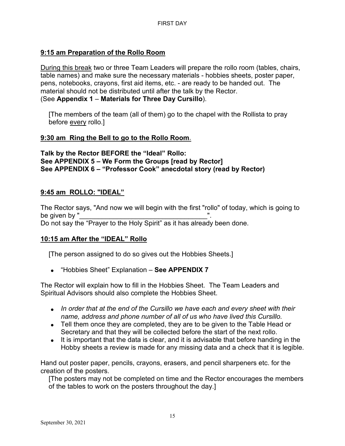## **9:15 am Preparation of the Rollo Room**

During this break two or three Team Leaders will prepare the rollo room (tables, chairs, table names) and make sure the necessary materials - hobbies sheets, poster paper, pens, notebooks, crayons, first aid items, etc. - are ready to be handed out. The material should not be distributed until after the talk by the Rector. (See **Appendix 1** – **Materials for Three Day Cursillo**).

[The members of the team (all of them) go to the chapel with the Rollista to pray before every rollo.]

## **9:30 am Ring the Bell to go to the Rollo Room**.

**Talk by the Rector BEFORE the "Ideal" Rollo: See APPENDIX 5 – We Form the Groups [read by Rector] See APPENDIX 6 – "Professor Cook" anecdotal story (read by Rector)**

## **9:45 am ROLLO: "IDEAL"**

The Rector says, "And now we will begin with the first "rollo" of today, which is going to be given by " Do not say the "Prayer to the Holy Spirit" as it has already been done.

## **10:15 am After the "IDEAL" Rollo**

[The person assigned to do so gives out the Hobbies Sheets.]

• "Hobbies Sheet" Explanation – **See APPENDIX 7**

The Rector will explain how to fill in the Hobbies Sheet. The Team Leaders and Spiritual Advisors should also complete the Hobbies Sheet.

- *In order that at the end of the Cursillo we have each and every sheet with their name, address and phone number of all of us who have lived this Cursillo.*
- Tell them once they are completed, they are to be given to the Table Head or Secretary and that they will be collected before the start of the next rollo.
- It is important that the data is clear, and it is advisable that before handing in the Hobby sheets a review is made for any missing data and a check that it is legible.

Hand out poster paper, pencils, crayons, erasers, and pencil sharpeners etc. for the creation of the posters.

[The posters may not be completed on time and the Rector encourages the members of the tables to work on the posters throughout the day.]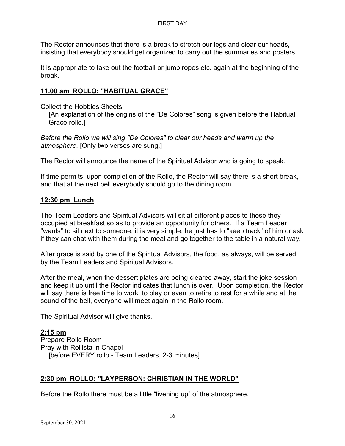The Rector announces that there is a break to stretch our legs and clear our heads, insisting that everybody should get organized to carry out the summaries and posters.

It is appropriate to take out the football or jump ropes etc. again at the beginning of the break.

## **11.00 am ROLLO: "HABITUAL GRACE"**

Collect the Hobbies Sheets.

[An explanation of the origins of the "De Colores" song is given before the Habitual Grace rollo.]

*Before the Rollo we will sing "De Colores" to clear our heads and warm up the atmosphere.* [Only two verses are sung.]

The Rector will announce the name of the Spiritual Advisor who is going to speak.

If time permits, upon completion of the Rollo, the Rector will say there is a short break, and that at the next bell everybody should go to the dining room.

#### **12:30 pm Lunch**

The Team Leaders and Spiritual Advisors will sit at different places to those they occupied at breakfast so as to provide an opportunity for others. If a Team Leader "wants" to sit next to someone, it is very simple, he just has to "keep track" of him or ask if they can chat with them during the meal and go together to the table in a natural way.

After grace is said by one of the Spiritual Advisors, the food, as always, will be served by the Team Leaders and Spiritual Advisors.

After the meal, when the dessert plates are being cleared away, start the joke session and keep it up until the Rector indicates that lunch is over. Upon completion, the Rector will say there is free time to work, to play or even to retire to rest for a while and at the sound of the bell, everyone will meet again in the Rollo room.

The Spiritual Advisor will give thanks.

## **2:15 pm**

Prepare Rollo Room Pray with Rollista in Chapel [before EVERY rollo - Team Leaders, 2-3 minutes]

## **2:30 pm ROLLO: "LAYPERSON: CHRISTIAN IN THE WORLD"**

Before the Rollo there must be a little "livening up" of the atmosphere.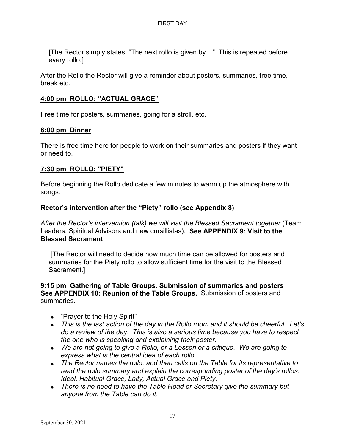[The Rector simply states: "The next rollo is given by…" This is repeated before every rollo.]

After the Rollo the Rector will give a reminder about posters, summaries, free time, break etc.

## **4:00 pm ROLLO: "ACTUAL GRACE"**

Free time for posters, summaries, going for a stroll, etc.

#### **6:00 pm Dinner**

There is free time here for people to work on their summaries and posters if they want or need to.

## **7:30 pm ROLLO: "PIETY"**

Before beginning the Rollo dedicate a few minutes to warm up the atmosphere with songs.

## **Rector's intervention after the "Piety" rollo (see Appendix 8)**

*After the Rector's intervention (talk) we will visit the Blessed Sacrament together* (Team Leaders, Spiritual Advisors and new cursillistas): **See APPENDIX 9: Visit to the Blessed Sacrament**

[The Rector will need to decide how much time can be allowed for posters and summaries for the Piety rollo to allow sufficient time for the visit to the Blessed Sacrament.]

#### **9:15 pm Gathering of Table Groups. Submission of summaries and posters See APPENDIX 10: Reunion of the Table Groups.** Submission of posters and summaries.

- "Prayer to the Holy Spirit"
- *This is the last action of the day in the Rollo room and it should be cheerful. Let's do a review of the day. This is also a serious time because you have to respect the one who is speaking and explaining their poster.*
- *We are not going to give a Rollo, or a Lesson or a critique. We are going to express what is the central idea of each rollo.*
- *The Rector names the rollo, and then calls on the Table for its representative to read the rollo summary and explain the corresponding poster of the day's rollos: Ideal, Habitual Grace, Laity, Actual Grace and Piety.*
- *There is no need to have the Table Head or Secretary give the summary but anyone from the Table can do it.*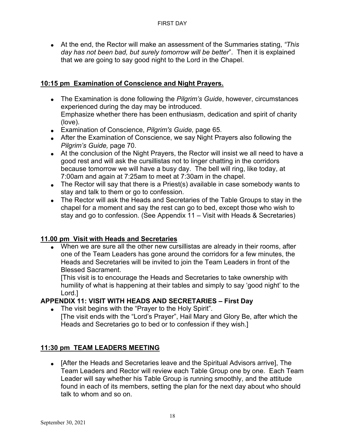• At the end, the Rector will make an assessment of the Summaries stating, *"This day has not been bad, but surely tomorrow will be better*". Then it is explained that we are going to say good night to the Lord in the Chapel.

## **10:15 pm Examination of Conscience and Night Prayers.**

- The Examination is done following the *Pilgrim's Guide*, however, circumstances experienced during the day may be introduced. Emphasize whether there has been enthusiasm, dedication and spirit of charity (love).
- Examination of Conscience, *Pilgrim's Guide,* page 65.
- After the Examination of Conscience, we say Night Prayers also following the *Pilgrim's Guide,* page 70.
- At the conclusion of the Night Prayers, the Rector will insist we all need to have a good rest and will ask the cursillistas not to linger chatting in the corridors because tomorrow we will have a busy day. The bell will ring, like today, at 7:00am and again at 7:25am to meet at 7:30am in the chapel.
- The Rector will say that there is a Priest(s) available in case somebody wants to stay and talk to them or go to confession.
- The Rector will ask the Heads and Secretaries of the Table Groups to stay in the chapel for a moment and say the rest can go to bed, except those who wish to stay and go to confession. (See Appendix 11 – Visit with Heads & Secretaries)

## **11.00 pm Visit with Heads and Secretaries**

• When we are sure all the other new cursillistas are already in their rooms, after one of the Team Leaders has gone around the corridors for a few minutes, the Heads and Secretaries will be invited to join the Team Leaders in front of the Blessed Sacrament.

[This visit is to encourage the Heads and Secretaries to take ownership with humility of what is happening at their tables and simply to say 'good night' to the Lord.]

## **APPENDIX 11: VISIT WITH HEADS AND SECRETARIES – First Day**

• The visit begins with the "Prayer to the Holy Spirit". [The visit ends with the "Lord's Prayer", Hail Mary and Glory Be, after which the Heads and Secretaries go to bed or to confession if they wish.]

## **11:30 pm TEAM LEADERS MEETING**

• [After the Heads and Secretaries leave and the Spiritual Advisors arrive], The Team Leaders and Rector will review each Table Group one by one. Each Team Leader will say whether his Table Group is running smoothly, and the attitude found in each of its members, setting the plan for the next day about who should talk to whom and so on.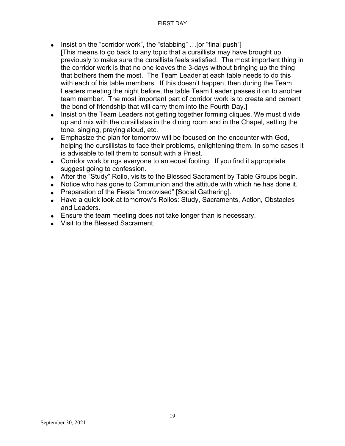- Insist on the "corridor work", the "stabbing" ... [or "final push"] [This means to go back to any topic that a cursillista may have brought up previously to make sure the cursillista feels satisfied. The most important thing in the corridor work is that no one leaves the 3-days without bringing up the thing that bothers them the most. The Team Leader at each table needs to do this with each of his table members. If this doesn't happen, then during the Team Leaders meeting the night before, the table Team Leader passes it on to another team member. The most important part of corridor work is to create and cement the bond of friendship that will carry them into the Fourth Day.]
- Insist on the Team Leaders not getting together forming cliques. We must divide up and mix with the cursillistas in the dining room and in the Chapel, setting the tone, singing, praying aloud, etc.
- Emphasize the plan for tomorrow will be focused on the encounter with God, helping the cursillistas to face their problems, enlightening them. In some cases it is advisable to tell them to consult with a Priest.
- Corridor work brings everyone to an equal footing. If you find it appropriate suggest going to confession.
- After the "Study" Rollo, visits to the Blessed Sacrament by Table Groups begin.
- Notice who has gone to Communion and the attitude with which he has done it.
- Preparation of the Fiesta "improvised" [Social Gathering].
- Have a quick look at tomorrow's Rollos: Study, Sacraments, Action, Obstacles and Leaders.
- Ensure the team meeting does not take longer than is necessary.
- Visit to the Blessed Sacrament.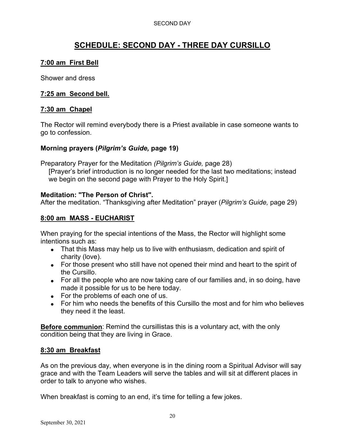#### SECOND DAY

# **SCHEDULE: SECOND DAY - THREE DAY CURSILLO**

## **7:00 am First Bell**

Shower and dress

## **7:25 am Second bell.**

## **7:30 am Chapel**

The Rector will remind everybody there is a Priest available in case someone wants to go to confession.

## **Morning prayers (***Pilgrim's Guide,* **page 19)**

Preparatory Prayer for the Meditation *(Pilgrim's Guide,* page 28)

[Prayer's brief introduction is no longer needed for the last two meditations; instead we begin on the second page with Prayer to the Holy Spirit.]

#### **Meditation: "The Person of Christ".**

After the meditation. "Thanksgiving after Meditation" prayer (*Pilgrim's Guide,* page 29)

## **8:00 am MASS - EUCHARIST**

When praying for the special intentions of the Mass, the Rector will highlight some intentions such as:

- That this Mass may help us to live with enthusiasm, dedication and spirit of charity (love).
- For those present who still have not opened their mind and heart to the spirit of the Cursillo.
- For all the people who are now taking care of our families and, in so doing, have made it possible for us to be here today.
- For the problems of each one of us.
- For him who needs the benefits of this Cursillo the most and for him who believes they need it the least.

**Before communion**: Remind the cursillistas this is a voluntary act, with the only condition being that they are living in Grace.

## **8:30 am Breakfast**

As on the previous day, when everyone is in the dining room a Spiritual Advisor will say grace and with the Team Leaders will serve the tables and will sit at different places in order to talk to anyone who wishes.

When breakfast is coming to an end, it's time for telling a few jokes.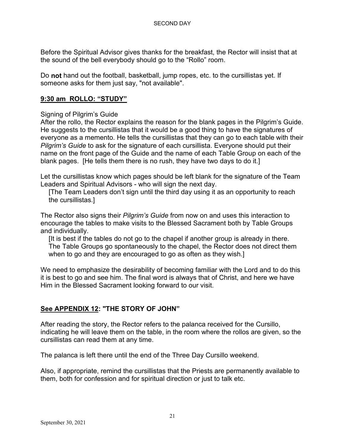Before the Spiritual Advisor gives thanks for the breakfast, the Rector will insist that at the sound of the bell everybody should go to the "Rollo" room.

Do **not** hand out the football, basketball, jump ropes, etc. to the cursillistas yet. If someone asks for them just say, "not available".

## **9:30 am ROLLO: "STUDY"**

## Signing of Pilgrim's Guide

After the rollo, the Rector explains the reason for the blank pages in the Pilgrim's Guide. He suggests to the cursillistas that it would be a good thing to have the signatures of everyone as a memento. He tells the cursillistas that they can go to each table with their *Pilgrim's Guide* to ask for the signature of each cursillista. Everyone should put their name on the front page of the Guide and the name of each Table Group on each of the blank pages. [He tells them there is no rush, they have two days to do it.]

Let the cursillistas know which pages should be left blank for the signature of the Team Leaders and Spiritual Advisors - who will sign the next day.

[The Team Leaders don't sign until the third day using it as an opportunity to reach the cursillistas.]

The Rector also signs their *Pilgrim's Guide* from now on and uses this interaction to encourage the tables to make visits to the Blessed Sacrament both by Table Groups and individually.

[It is best if the tables do not go to the chapel if another group is already in there. The Table Groups go spontaneously to the chapel, the Rector does not direct them when to go and they are encouraged to go as often as they wish.]

We need to emphasize the desirability of becoming familiar with the Lord and to do this it is best to go and see him. The final word is always that of Christ, and here we have Him in the Blessed Sacrament looking forward to our visit.

## **See APPENDIX 12: "THE STORY OF JOHN"**

After reading the story, the Rector refers to the palanca received for the Cursillo, indicating he will leave them on the table, in the room where the rollos are given, so the cursillistas can read them at any time.

The palanca is left there until the end of the Three Day Cursillo weekend.

Also, if appropriate, remind the cursillistas that the Priests are permanently available to them, both for confession and for spiritual direction or just to talk etc.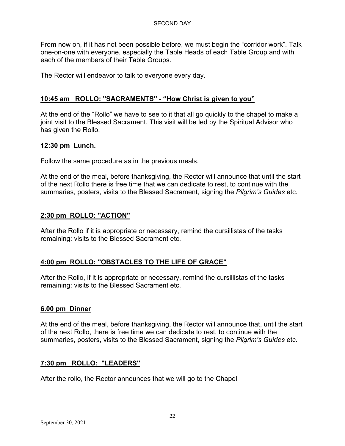From now on, if it has not been possible before, we must begin the "corridor work". Talk one-on-one with everyone, especially the Table Heads of each Table Group and with each of the members of their Table Groups.

The Rector will endeavor to talk to everyone every day.

## **10:45 am ROLLO: "SACRAMENTS" - "How Christ is given to you"**

At the end of the "Rollo" we have to see to it that all go quickly to the chapel to make a joint visit to the Blessed Sacrament. This visit will be led by the Spiritual Advisor who has given the Rollo.

## **12:30 pm Lunch.**

Follow the same procedure as in the previous meals.

At the end of the meal, before thanksgiving, the Rector will announce that until the start of the next Rollo there is free time that we can dedicate to rest, to continue with the summaries, posters, visits to the Blessed Sacrament, signing the *Pilgrim's Guides* etc.

## **2:30 pm ROLLO: "ACTION"**

After the Rollo if it is appropriate or necessary, remind the cursillistas of the tasks remaining: visits to the Blessed Sacrament etc.

## **4:00 pm ROLLO: "OBSTACLES TO THE LIFE OF GRACE"**

After the Rollo, if it is appropriate or necessary, remind the cursillistas of the tasks remaining: visits to the Blessed Sacrament etc.

## **6.00 pm Dinner**

At the end of the meal, before thanksgiving, the Rector will announce that, until the start of the next Rollo, there is free time we can dedicate to rest, to continue with the summaries, posters, visits to the Blessed Sacrament, signing the *Pilgrim's Guides* etc.

## **7:30 pm ROLLO: "LEADERS"**

After the rollo, the Rector announces that we will go to the Chapel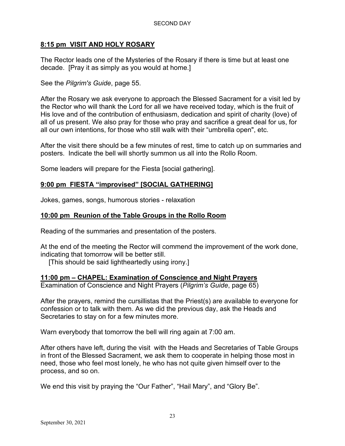## **8:15 pm VISIT AND HOLY ROSARY**

The Rector leads one of the Mysteries of the Rosary if there is time but at least one decade. [Pray it as simply as you would at home.]

## See the *Pilgrim's Guide*, page 55.

After the Rosary we ask everyone to approach the Blessed Sacrament for a visit led by the Rector who will thank the Lord for all we have received today, which is the fruit of His love and of the contribution of enthusiasm, dedication and spirit of charity (love) of all of us present. We also pray for those who pray and sacrifice a great deal for us, for all our own intentions, for those who still walk with their "umbrella open", etc.

After the visit there should be a few minutes of rest, time to catch up on summaries and posters. Indicate the bell will shortly summon us all into the Rollo Room.

Some leaders will prepare for the Fiesta [social gathering].

## **9:00 pm FIESTA "improvised" [SOCIAL GATHERING]**

Jokes, games, songs, humorous stories - relaxation

## **10:00 pm Reunion of the Table Groups in the Rollo Room**

Reading of the summaries and presentation of the posters.

At the end of the meeting the Rector will commend the improvement of the work done, indicating that tomorrow will be better still.

[This should be said lightheartedly using irony.]

## **11:00 pm – CHAPEL: Examination of Conscience and Night Prayers**

Examination of Conscience and Night Prayers (*Pilgrim's Guide*, page 65)

After the prayers, remind the cursillistas that the Priest(s) are available to everyone for confession or to talk with them. As we did the previous day, ask the Heads and Secretaries to stay on for a few minutes more.

Warn everybody that tomorrow the bell will ring again at 7:00 am.

After others have left, during the visit with the Heads and Secretaries of Table Groups in front of the Blessed Sacrament, we ask them to cooperate in helping those most in need, those who feel most lonely, he who has not quite given himself over to the process, and so on.

We end this visit by praying the "Our Father", "Hail Mary", and "Glory Be".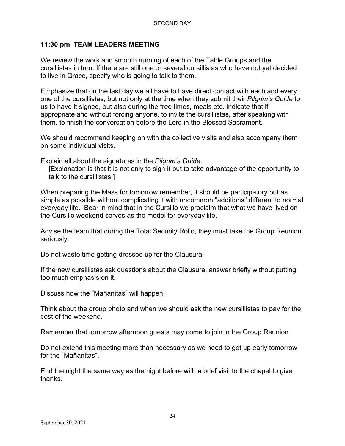## **11:30 pm TEAM LEADERS MEETING**

We review the work and smooth running of each of the Table Groups and the cursillistas in turn. If there are still one or several cursillistas who have not yet decided to live in Grace, specify who is going to talk to them.

Emphasize that on the last day we all have to have direct contact with each and every one of the cursillistas, but not only at the time when they submit their *Pilgrim's Guide* to us to have it signed, but also during the free times, meals etc. Indicate that if appropriate and without forcing anyone, to invite the cursillistas**,** after speaking with them, to finish the conversation before the Lord in the Blessed Sacrament.

We should recommend keeping on with the collective visits and also accompany them on some individual visits.

Explain all about the signatures in the *Pilgrim's Guide*.

[Explanation is that it is not only to sign it but to take advantage of the opportunity to talk to the cursillistas.]

When preparing the Mass for tomorrow remember, it should be participatory but as simple as possible without complicating it with uncommon "additions" different to normal everyday life. Bear in mind that in the Cursillo we proclaim that what we have lived on the Cursillo weekend serves as the model for everyday life.

Advise the team that during the Total Security Rollo, they must take the Group Reunion seriously.

Do not waste time getting dressed up for the Clausura.

If the new cursillistas ask questions about the Clausura, answer briefly without putting too much emphasis on it.

Discuss how the "Mañanitas" will happen.

Think about the group photo and when we should ask the new cursillistas to pay for the cost of the weekend.

Remember that tomorrow afternoon guests may come to join in the Group Reunion

Do not extend this meeting more than necessary as we need to get up early tomorrow for the "Mañanitas".

End the night the same way as the night before with a brief visit to the chapel to give thanks.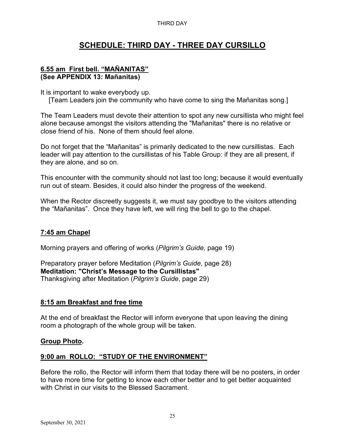#### THIRD DAY

# **SCHEDULE: THIRD DAY - THREE DAY CURSILLO**

## **6.55 am First bell. "MAÑANITAS" (See APPENDIX 13: Mañanitas)**

It is important to wake everybody up.

[Team Leaders join the community who have come to sing the Mañanitas song.]

The Team Leaders must devote their attention to spot any new cursillista who might feel alone because amongst the visitors attending the "Mañanitas" there is no relative or close friend of his. None of them should feel alone.

Do not forget that the "Mañanitas" is primarily dedicated to the new cursillistas. Each leader will pay attention to the cursillistas of his Table Group: if they are all present, if they are alone, and so on.

This encounter with the community should not last too long; because it would eventually run out of steam. Besides, it could also hinder the progress of the weekend.

When the Rector discreetly suggests it, we must say goodbye to the visitors attending the "Mañanitas". Once they have left, we will ring the bell to go to the chapel.

## **7:45 am Chapel**

Morning prayers and offering of works (*Pilgrim's Guide,* page 19)

Preparatory prayer before Meditation (*Pilgrim's Guide*, page 28) **Meditation: "Christ's Message to the Cursillistas"** Thanksgiving after Meditation (*Pilgrim's Guide*, page 29)

## **8:15 am Breakfast and free time**

At the end of breakfast the Rector will inform everyone that upon leaving the dining room a photograph of the whole group will be taken.

## **Group Photo.**

## **9:00 am ROLLO: "STUDY OF THE ENVIRONMENT"**

Before the rollo, the Rector will inform them that today there will be no posters, in order to have more time for getting to know each other better and to get better acquainted with Christ in our visits to the Blessed Sacrament.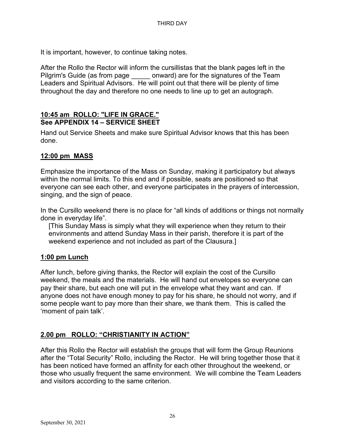It is important, however, to continue taking notes.

After the Rollo the Rector will inform the cursillistas that the blank pages left in the Pilgrim's Guide (as from page \_\_\_\_\_ onward) are for the signatures of the Team Leaders and Spiritual Advisors. He will point out that there will be plenty of time throughout the day and therefore no one needs to line up to get an autograph.

## **10:45 am ROLLO: "LIFE IN GRACE." See APPENDIX 14 – SERVICE SHEET**

Hand out Service Sheets and make sure Spiritual Advisor knows that this has been done.

## **12:00 pm MASS**

Emphasize the importance of the Mass on Sunday, making it participatory but always within the normal limits. To this end and if possible, seats are positioned so that everyone can see each other, and everyone participates in the prayers of intercession, singing, and the sign of peace.

In the Cursillo weekend there is no place for "all kinds of additions or things not normally done in everyday life".

[This Sunday Mass is simply what they will experience when they return to their environments and attend Sunday Mass in their parish, therefore it is part of the weekend experience and not included as part of the Clausura.]

## **1:00 pm Lunch**

After lunch, before giving thanks, the Rector will explain the cost of the Cursillo weekend, the meals and the materials. He will hand out envelopes so everyone can pay their share, but each one will put in the envelope what they want and can. If anyone does not have enough money to pay for his share, he should not worry, and if some people want to pay more than their share, we thank them. This is called the 'moment of pain talk'.

## **2.00 pm ROLLO: "CHRISTIANITY IN ACTION"**

After this Rollo the Rector will establish the groups that will form the Group Reunions after the "Total Security" Rollo, including the Rector. He will bring together those that it has been noticed have formed an affinity for each other throughout the weekend, or those who usually frequent the same environment. We will combine the Team Leaders and visitors according to the same criterion.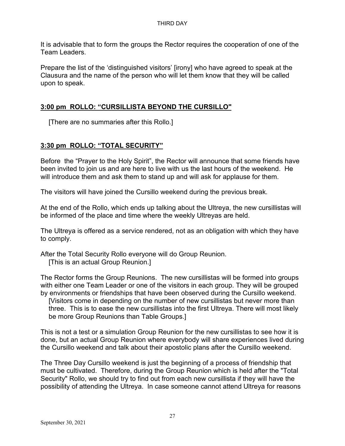It is advisable that to form the groups the Rector requires the cooperation of one of the Team Leaders.

Prepare the list of the 'distinguished visitors' [irony] who have agreed to speak at the Clausura and the name of the person who will let them know that they will be called upon to speak.

## **3:00 pm ROLLO: "CURSILLISTA BEYOND THE CURSILLO"**

[There are no summaries after this Rollo.]

## **3:30 pm ROLLO: "TOTAL SECURITY"**

Before the "Prayer to the Holy Spirit", the Rector will announce that some friends have been invited to join us and are here to live with us the last hours of the weekend. He will introduce them and ask them to stand up and will ask for applause for them.

The visitors will have joined the Cursillo weekend during the previous break.

At the end of the Rollo, which ends up talking about the Ultreya, the new cursillistas will be informed of the place and time where the weekly Ultreyas are held.

The Ultreya is offered as a service rendered, not as an obligation with which they have to comply.

After the Total Security Rollo everyone will do Group Reunion.

[This is an actual Group Reunion.]

The Rector forms the Group Reunions. The new cursillistas will be formed into groups with either one Team Leader or one of the visitors in each group. They will be grouped by environments or friendships that have been observed during the Cursillo weekend. [Visitors come in depending on the number of new cursillistas but never more than three. This is to ease the new cursillistas into the first Ultreya. There will most likely be more Group Reunions than Table Groups.]

This is not a test or a simulation Group Reunion for the new cursillistas to see how it is done, but an actual Group Reunion where everybody will share experiences lived during the Cursillo weekend and talk about their apostolic plans after the Cursillo weekend.

The Three Day Cursillo weekend is just the beginning of a process of friendship that must be cultivated. Therefore, during the Group Reunion which is held after the "Total Security" Rollo, we should try to find out from each new cursillista if they will have the possibility of attending the Ultreya. In case someone cannot attend Ultreya for reasons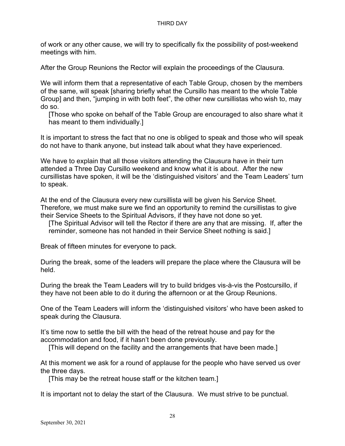of work or any other cause, we will try to specifically fix the possibility of post-weekend meetings with him.

After the Group Reunions the Rector will explain the proceedings of the Clausura.

We will inform them that a representative of each Table Group, chosen by the members of the same, will speak [sharing briefly what the Cursillo has meant to the whole Table Group] and then, "jumping in with both feet", the other new cursillistas who wish to, may do so.

[Those who spoke on behalf of the Table Group are encouraged to also share what it has meant to them individually.]

It is important to stress the fact that no one is obliged to speak and those who will speak do not have to thank anyone, but instead talk about what they have experienced.

We have to explain that all those visitors attending the Clausura have in their turn attended a Three Day Cursillo weekend and know what it is about. After the new cursillistas have spoken, it will be the 'distinguished visitors' and the Team Leaders' turn to speak.

At the end of the Clausura every new cursillista will be given his Service Sheet. Therefore, we must make sure we find an opportunity to remind the cursillistas to give their Service Sheets to the Spiritual Advisors, if they have not done so yet.

[The Spiritual Advisor will tell the Rector if there are any that are missing. If, after the reminder, someone has not handed in their Service Sheet nothing is said.]

Break of fifteen minutes for everyone to pack.

During the break, some of the leaders will prepare the place where the Clausura will be held.

During the break the Team Leaders will try to build bridges vis-à-vis the Postcursillo, if they have not been able to do it during the afternoon or at the Group Reunions.

One of the Team Leaders will inform the 'distinguished visitors' who have been asked to speak during the Clausura.

It's time now to settle the bill with the head of the retreat house and pay for the accommodation and food, if it hasn't been done previously.

[This will depend on the facility and the arrangements that have been made.]

At this moment we ask for a round of applause for the people who have served us over the three days.

[This may be the retreat house staff or the kitchen team.]

It is important not to delay the start of the Clausura. We must strive to be punctual.